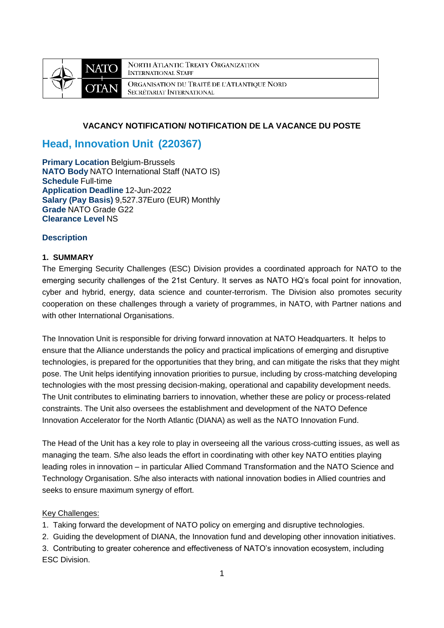

**NORTH ATLANTIC TREATY ORGANIZATION INTERNATIONAL STAFF** ORGANISATION DU TRAITÉ DE L'ATLANTIQUE NORD SECRÉTARIAT INTERNATIONAL

# **VACANCY NOTIFICATION/ NOTIFICATION DE LA VACANCE DU POSTE**

# **Head, Innovation Unit (220367)**

**Primary Location Belgium-Brussels NATO Body** NATO International Staff (NATO IS) **Schedule** Full-time **Application Deadline** 12-Jun-2022 **Salary (Pay Basis)** 9,527.37Euro (EUR) Monthly **Grade** NATO Grade G22 **Clearance Level** NS

## **Description**

## **1. SUMMARY**

The Emerging Security Challenges (ESC) Division provides a coordinated approach for NATO to the emerging security challenges of the 21st Century. It serves as NATO HQ's focal point for innovation, cyber and hybrid, energy, data science and counter-terrorism. The Division also promotes security cooperation on these challenges through a variety of programmes, in NATO, with Partner nations and with other International Organisations.

The Innovation Unit is responsible for driving forward innovation at NATO Headquarters. It helps to ensure that the Alliance understands the policy and practical implications of emerging and disruptive technologies, is prepared for the opportunities that they bring, and can mitigate the risks that they might pose. The Unit helps identifying innovation priorities to pursue, including by cross-matching developing technologies with the most pressing decision-making, operational and capability development needs. The Unit contributes to eliminating barriers to innovation, whether these are policy or process-related constraints. The Unit also oversees the establishment and development of the NATO Defence Innovation Accelerator for the North Atlantic (DIANA) as well as the NATO Innovation Fund.

The Head of the Unit has a key role to play in overseeing all the various cross-cutting issues, as well as managing the team. S/he also leads the effort in coordinating with other key NATO entities playing leading roles in innovation – in particular Allied Command Transformation and the NATO Science and Technology Organisation. S/he also interacts with national innovation bodies in Allied countries and seeks to ensure maximum synergy of effort.

#### Key Challenges:

- 1. Taking forward the development of NATO policy on emerging and disruptive technologies.
- 2. Guiding the development of DIANA, the Innovation fund and developing other innovation initiatives.
- 3. Contributing to greater coherence and effectiveness of NATO's innovation ecosystem, including ESC Division.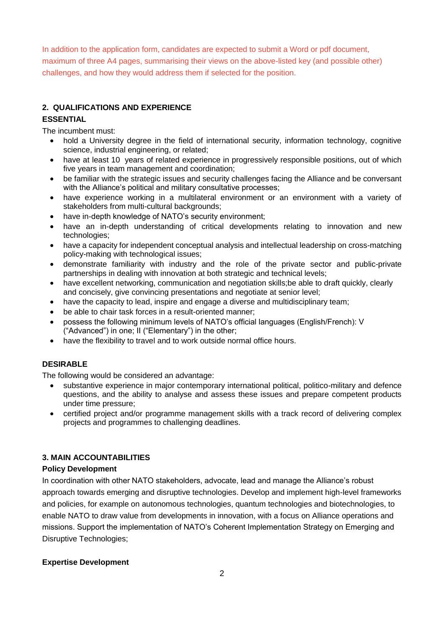In addition to the application form, candidates are expected to submit a Word or pdf document, maximum of three A4 pages, summarising their views on the above-listed key (and possible other) challenges, and how they would address them if selected for the position.

# **2. QUALIFICATIONS AND EXPERIENCE**

# **ESSENTIAL**

The incumbent must:

- hold a University degree in the field of international security, information technology, cognitive science, industrial engineering, or related;
- have at least 10 years of related experience in progressively responsible positions, out of which five years in team management and coordination;
- be familiar with the strategic issues and security challenges facing the Alliance and be conversant with the Alliance's political and military consultative processes;
- have experience working in a multilateral environment or an environment with a variety of stakeholders from multi-cultural backgrounds;
- have in-depth knowledge of NATO's security environment;
- have an in-depth understanding of critical developments relating to innovation and new technologies;
- have a capacity for independent conceptual analysis and intellectual leadership on cross-matching policy-making with technological issues;
- demonstrate familiarity with industry and the role of the private sector and public-private partnerships in dealing with innovation at both strategic and technical levels;
- have excellent networking, communication and negotiation skills;be able to draft quickly, clearly and concisely, give convincing presentations and negotiate at senior level;
- have the capacity to lead, inspire and engage a diverse and multidisciplinary team;
- be able to chair task forces in a result-oriented manner;
- possess the following minimum levels of NATO's official languages (English/French): V ("Advanced") in one; II ("Elementary") in the other;
- have the flexibility to travel and to work outside normal office hours.

# **DESIRABLE**

The following would be considered an advantage:

- substantive experience in major contemporary international political, politico-military and defence questions, and the ability to analyse and assess these issues and prepare competent products under time pressure;
- certified project and/or programme management skills with a track record of delivering complex projects and programmes to challenging deadlines.

# **3. MAIN ACCOUNTABILITIES**

# **Policy Development**

In coordination with other NATO stakeholders, advocate, lead and manage the Alliance's robust approach towards emerging and disruptive technologies. Develop and implement high-level frameworks and policies, for example on autonomous technologies, quantum technologies and biotechnologies, to enable NATO to draw value from developments in innovation, with a focus on Alliance operations and missions. Support the implementation of NATO's Coherent Implementation Strategy on Emerging and Disruptive Technologies;

# **Expertise Development**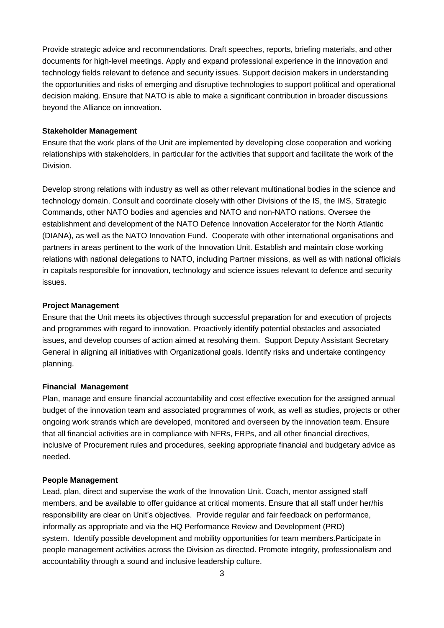Provide strategic advice and recommendations. Draft speeches, reports, briefing materials, and other documents for high-level meetings. Apply and expand professional experience in the innovation and technology fields relevant to defence and security issues. Support decision makers in understanding the opportunities and risks of emerging and disruptive technologies to support political and operational decision making. Ensure that NATO is able to make a significant contribution in broader discussions beyond the Alliance on innovation.

#### **Stakeholder Management**

Ensure that the work plans of the Unit are implemented by developing close cooperation and working relationships with stakeholders, in particular for the activities that support and facilitate the work of the Division.

Develop strong relations with industry as well as other relevant multinational bodies in the science and technology domain. Consult and coordinate closely with other Divisions of the IS, the IMS, Strategic Commands, other NATO bodies and agencies and NATO and non-NATO nations. Oversee the establishment and development of the NATO Defence Innovation Accelerator for the North Atlantic (DIANA), as well as the NATO Innovation Fund. Cooperate with other international organisations and partners in areas pertinent to the work of the Innovation Unit. Establish and maintain close working relations with national delegations to NATO, including Partner missions, as well as with national officials in capitals responsible for innovation, technology and science issues relevant to defence and security issues.

#### **Project Management**

Ensure that the Unit meets its objectives through successful preparation for and execution of projects and programmes with regard to innovation. Proactively identify potential obstacles and associated issues, and develop courses of action aimed at resolving them. Support Deputy Assistant Secretary General in aligning all initiatives with Organizational goals. Identify risks and undertake contingency planning.

#### **Financial Management**

Plan, manage and ensure financial accountability and cost effective execution for the assigned annual budget of the innovation team and associated programmes of work, as well as studies, projects or other ongoing work strands which are developed, monitored and overseen by the innovation team. Ensure that all financial activities are in compliance with NFRs, FRPs, and all other financial directives, inclusive of Procurement rules and procedures, seeking appropriate financial and budgetary advice as needed.

#### **People Management**

Lead, plan, direct and supervise the work of the Innovation Unit. Coach, mentor assigned staff members, and be available to offer guidance at critical moments. Ensure that all staff under her/his responsibility are clear on Unit's objectives. Provide regular and fair feedback on performance, informally as appropriate and via the HQ Performance Review and Development (PRD) system. Identify possible development and mobility opportunities for team members.Participate in people management activities across the Division as directed. Promote integrity, professionalism and accountability through a sound and inclusive leadership culture.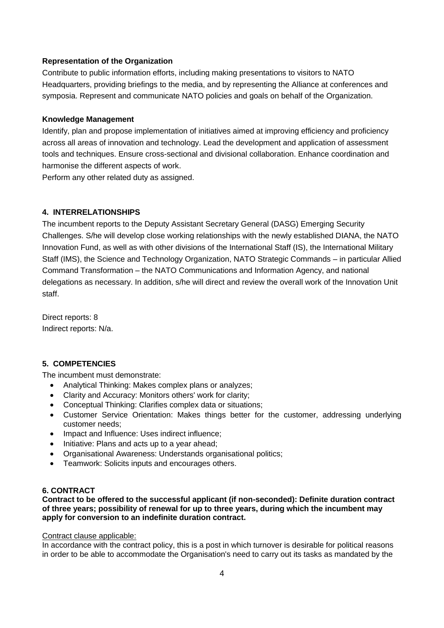## **Representation of the Organization**

Contribute to public information efforts, including making presentations to visitors to NATO Headquarters, providing briefings to the media, and by representing the Alliance at conferences and symposia. Represent and communicate NATO policies and goals on behalf of the Organization.

#### **Knowledge Management**

Identify, plan and propose implementation of initiatives aimed at improving efficiency and proficiency across all areas of innovation and technology. Lead the development and application of assessment tools and techniques. Ensure cross-sectional and divisional collaboration. Enhance coordination and harmonise the different aspects of work.

Perform any other related duty as assigned.

# **4. INTERRELATIONSHIPS**

The incumbent reports to the Deputy Assistant Secretary General (DASG) Emerging Security Challenges. S/he will develop close working relationships with the newly established DIANA, the NATO Innovation Fund, as well as with other divisions of the International Staff (IS), the International Military Staff (IMS), the Science and Technology Organization, NATO Strategic Commands – in particular Allied Command Transformation – the NATO Communications and Information Agency, and national delegations as necessary. In addition, s/he will direct and review the overall work of the Innovation Unit staff.

Direct reports: 8 Indirect reports: N/a.

# **5. COMPETENCIES**

The incumbent must demonstrate:

- Analytical Thinking: Makes complex plans or analyzes;
- Clarity and Accuracy: Monitors others' work for clarity;
- Conceptual Thinking: Clarifies complex data or situations;
- Customer Service Orientation: Makes things better for the customer, addressing underlying customer needs;
- Impact and Influence: Uses indirect influence;
- Initiative: Plans and acts up to a year ahead;
- Organisational Awareness: Understands organisational politics;
- Teamwork: Solicits inputs and encourages others.

#### **6. CONTRACT**

**Contract to be offered to the successful applicant (if non-seconded): Definite duration contract of three years; possibility of renewal for up to three years, during which the incumbent may apply for conversion to an indefinite duration contract.**

#### Contract clause applicable:

In accordance with the contract policy, this is a post in which turnover is desirable for political reasons in order to be able to accommodate the Organisation's need to carry out its tasks as mandated by the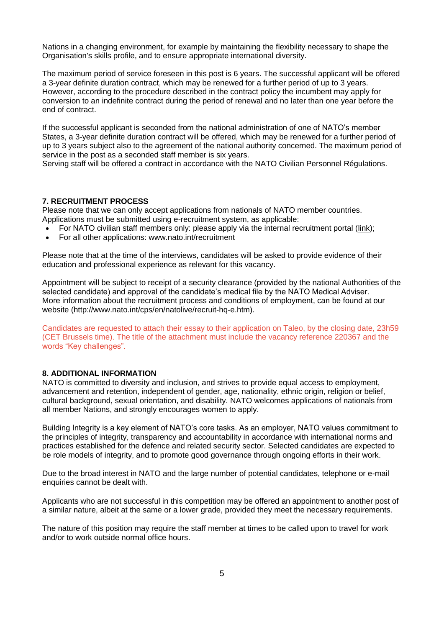Nations in a changing environment, for example by maintaining the flexibility necessary to shape the Organisation's skills profile, and to ensure appropriate international diversity.

The maximum period of service foreseen in this post is 6 years. The successful applicant will be offered a 3-year definite duration contract, which may be renewed for a further period of up to 3 years. However, according to the procedure described in the contract policy the incumbent may apply for conversion to an indefinite contract during the period of renewal and no later than one year before the end of contract.

If the successful applicant is seconded from the national administration of one of NATO's member States, a 3-year definite duration contract will be offered, which may be renewed for a further period of up to 3 years subject also to the agreement of the national authority concerned. The maximum period of service in the post as a seconded staff member is six years.

Serving staff will be offered a contract in accordance with the NATO Civilian Personnel Régulations.

#### **7. RECRUITMENT PROCESS**

Please note that we can only accept applications from nationals of NATO member countries. Applications must be submitted using e-recruitment system, as applicable:

- For NATO civilian staff members only: please apply via the internal recruitment portal [\(link\)](https://nato.taleo.net/careersection/1/jobsearch.ftl?lang=en);
- For all other applications: www.nato.int/recruitment

Please note that at the time of the interviews, candidates will be asked to provide evidence of their education and professional experience as relevant for this vacancy.

Appointment will be subject to receipt of a security clearance (provided by the national Authorities of the selected candidate) and approval of the candidate's medical file by the NATO Medical Adviser. More information about the recruitment process and conditions of employment, can be found at our website (http://www.nato.int/cps/en/natolive/recruit-hq-e.htm).

Candidates are requested to attach their essay to their application on Taleo, by the closing date, 23h59 (CET Brussels time). The title of the attachment must include the vacancy reference 220367 and the words "Key challenges".

#### **8. ADDITIONAL INFORMATION**

NATO is committed to diversity and inclusion, and strives to provide equal access to employment, advancement and retention, independent of gender, age, nationality, ethnic origin, religion or belief, cultural background, sexual orientation, and disability. NATO welcomes applications of nationals from all member Nations, and strongly encourages women to apply.

Building Integrity is a key element of NATO's core tasks. As an employer, NATO values commitment to the principles of integrity, transparency and accountability in accordance with international norms and practices established for the defence and related security sector. Selected candidates are expected to be role models of integrity, and to promote good governance through ongoing efforts in their work.

Due to the broad interest in NATO and the large number of potential candidates, telephone or e-mail enquiries cannot be dealt with.

Applicants who are not successful in this competition may be offered an appointment to another post of a similar nature, albeit at the same or a lower grade, provided they meet the necessary requirements.

The nature of this position may require the staff member at times to be called upon to travel for work and/or to work outside normal office hours.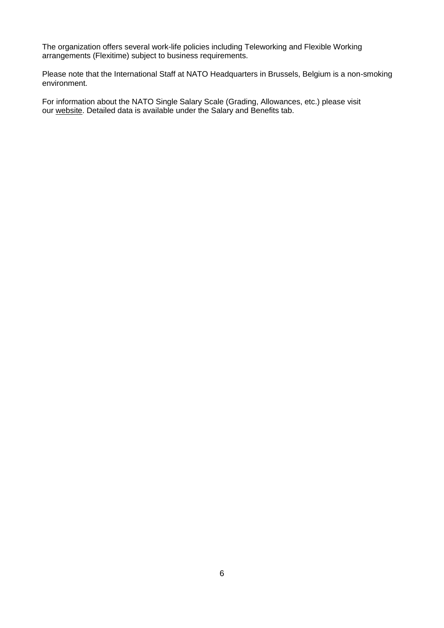The organization offers several work-life policies including Teleworking and Flexible Working arrangements (Flexitime) subject to business requirements.

Please note that the International Staff at NATO Headquarters in Brussels, Belgium is a non-smoking environment.

For information about the NATO Single Salary Scale (Grading, Allowances, etc.) please visit our [website.](https://www.nato.int/cps/en/natolive/86790.htm) Detailed data is available under the Salary and Benefits tab.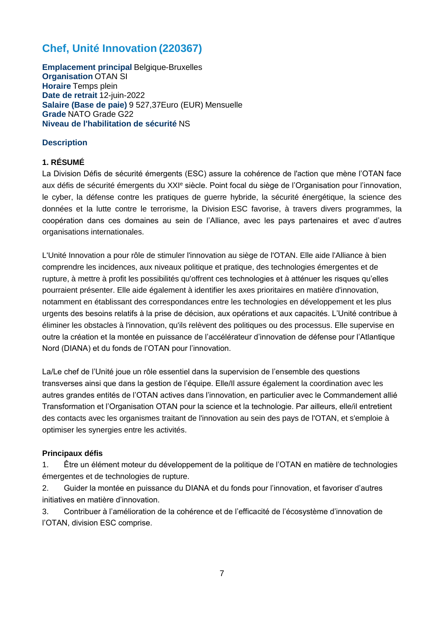# **Chef, Unité Innovation (220367)**

**Emplacement principal** Belgique-Bruxelles **Organisation** OTAN SI **Horaire** Temps plein **Date de retrait** 12-juin-2022 **Salaire (Base de paie)** 9 527,37Euro (EUR) Mensuelle **Grade** NATO Grade G22 **Niveau de l'habilitation de sécurité** NS

# **Description**

# **1. RÉSUMÉ**

La Division Défis de sécurité émergents (ESC) assure la cohérence de l'action que mène l'OTAN face aux défis de sécurité émergents du XXI<sup>e</sup> siècle. Point focal du siège de l'Organisation pour l'innovation, le cyber, la défense contre les pratiques de guerre hybride, la sécurité énergétique, la science des données et la lutte contre le terrorisme, la Division ESC favorise, à travers divers programmes, la coopération dans ces domaines au sein de l'Alliance, avec les pays partenaires et avec d'autres organisations internationales.

L'Unité Innovation a pour rôle de stimuler l'innovation au siège de l'OTAN. Elle aide l'Alliance à bien comprendre les incidences, aux niveaux politique et pratique, des technologies émergentes et de rupture, à mettre à profit les possibilités qu'offrent ces technologies et à atténuer les risques qu'elles pourraient présenter. Elle aide également à identifier les axes prioritaires en matière d'innovation, notamment en établissant des correspondances entre les technologies en développement et les plus urgents des besoins relatifs à la prise de décision, aux opérations et aux capacités. L'Unité contribue à éliminer les obstacles à l'innovation, qu'ils relèvent des politiques ou des processus. Elle supervise en outre la création et la montée en puissance de l'accélérateur d'innovation de défense pour l'Atlantique Nord (DIANA) et du fonds de l'OTAN pour l'innovation.

La/Le chef de l'Unité joue un rôle essentiel dans la supervision de l'ensemble des questions transverses ainsi que dans la gestion de l'équipe. Elle/Il assure également la coordination avec les autres grandes entités de l'OTAN actives dans l'innovation, en particulier avec le Commandement allié Transformation et l'Organisation OTAN pour la science et la technologie. Par ailleurs, elle/il entretient des contacts avec les organismes traitant de l'innovation au sein des pays de l'OTAN, et s'emploie à optimiser les synergies entre les activités.

# **Principaux défis**

1. Être un élément moteur du développement de la politique de l'OTAN en matière de technologies émergentes et de technologies de rupture.

2. Guider la montée en puissance du DIANA et du fonds pour l'innovation, et favoriser d'autres initiatives en matière d'innovation.

3. Contribuer à l'amélioration de la cohérence et de l'efficacité de l'écosystème d'innovation de l'OTAN, division ESC comprise.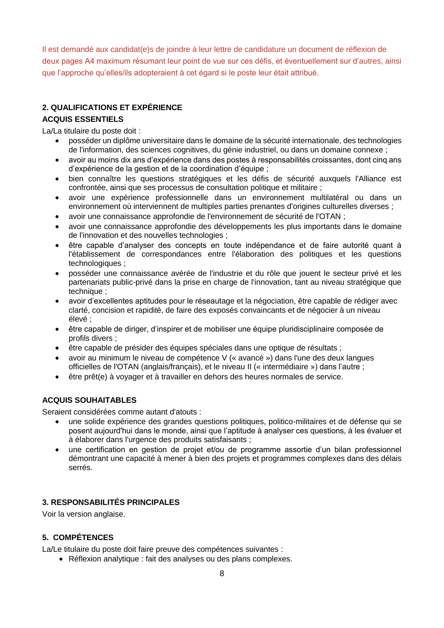Il est demandé aux candidat(e)s de joindre à leur lettre de candidature un document de réflexion de deux pages A4 maximum résumant leur point de vue sur ces défis, et éventuellement sur d'autres, ainsi que l'approche qu'elles/ils adopteraient à cet égard si le poste leur était attribué.

# **2. QUALIFICATIONS ET EXPÉRIENCE**

# **ACQUIS ESSENTIELS**

La/La titulaire du poste doit :

- posséder un diplôme universitaire dans le domaine de la sécurité internationale, des technologies de l'information, des sciences cognitives, du génie industriel, ou dans un domaine connexe ;
- avoir au moins dix ans d'expérience dans des postes à responsabilités croissantes, dont cinq ans d'expérience de la gestion et de la coordination d'équipe ;
- bien connaître les questions stratégiques et les défis de sécurité auxquels l'Alliance est confrontée, ainsi que ses processus de consultation politique et militaire ;
- avoir une expérience professionnelle dans un environnement multilatéral ou dans un environnement où interviennent de multiples parties prenantes d'origines culturelles diverses ;
- avoir une connaissance approfondie de l'environnement de sécurité de l'OTAN ;
- avoir une connaissance approfondie des développements les plus importants dans le domaine de l'innovation et des nouvelles technologies ;
- être capable d'analyser des concepts en toute indépendance et de faire autorité quant à l'établissement de correspondances entre l'élaboration des politiques et les questions technologiques ;
- posséder une connaissance avérée de l'industrie et du rôle que jouent le secteur privé et les partenariats public-privé dans la prise en charge de l'innovation, tant au niveau stratégique que technique ;
- avoir d'excellentes aptitudes pour le réseautage et la négociation, être capable de rédiger avec clarté, concision et rapidité, de faire des exposés convaincants et de négocier à un niveau élevé ;
- être capable de diriger, d'inspirer et de mobiliser une équipe pluridisciplinaire composée de profils divers ;
- être capable de présider des équipes spéciales dans une optique de résultats ;
- avoir au minimum le niveau de compétence V (« avancé ») dans l'une des deux langues officielles de l'OTAN (anglais/français), et le niveau II (« intermédiaire ») dans l'autre ;
- être prêt(e) à voyager et à travailler en dehors des heures normales de service.

# **ACQUIS SOUHAITABLES**

Seraient considérées comme autant d'atouts :

- une solide expérience des grandes questions politiques, politico-militaires et de défense qui se posent aujourd'hui dans le monde, ainsi que l'aptitude à analyser ces questions, à les évaluer et à élaborer dans l'urgence des produits satisfaisants ;
- une certification en gestion de projet et/ou de programme assortie d'un bilan professionnel démontrant une capacité à mener à bien des projets et programmes complexes dans des délais serrés.

# **3. RESPONSABILITÉS PRINCIPALES**

Voir la version anglaise.

# **5. COMPÉTENCES**

La/Le titulaire du poste doit faire preuve des compétences suivantes :

Réflexion analytique : fait des analyses ou des plans complexes.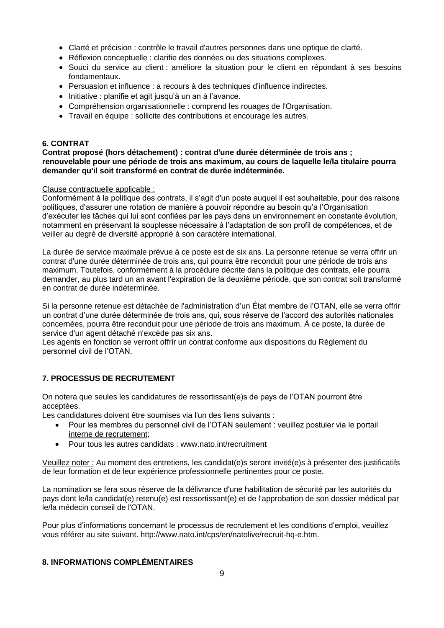- Clarté et précision : contrôle le travail d'autres personnes dans une optique de clarté.
- Réflexion conceptuelle : clarifie des données ou des situations complexes.
- Souci du service au client : améliore la situation pour le client en répondant à ses besoins fondamentaux.
- Persuasion et influence : a recours à des techniques d'influence indirectes.
- Initiative : planifie et agit jusqu'à un an à l'avance.
- Compréhension organisationnelle : comprend les rouages de l'Organisation.
- Travail en équipe : sollicite des contributions et encourage les autres.

## **6. CONTRAT**

**Contrat proposé (hors détachement) : contrat d'une durée déterminée de trois ans ; renouvelable pour une période de trois ans maximum, au cours de laquelle le/la titulaire pourra demander qu'il soit transformé en contrat de durée indéterminée.**

#### Clause contractuelle applicable :

Conformément à la politique des contrats, il s'agit d'un poste auquel il est souhaitable, pour des raisons politiques, d'assurer une rotation de manière à pouvoir répondre au besoin qu'a l'Organisation d'exécuter les tâches qui lui sont confiées par les pays dans un environnement en constante évolution, notamment en préservant la souplesse nécessaire à l'adaptation de son profil de compétences, et de veiller au degré de diversité approprié à son caractère international.

La durée de service maximale prévue à ce poste est de six ans. La personne retenue se verra offrir un contrat d'une durée déterminée de trois ans, qui pourra être reconduit pour une période de trois ans maximum. Toutefois, conformément à la procédure décrite dans la politique des contrats, elle pourra demander, au plus tard un an avant l'expiration de la deuxième période, que son contrat soit transformé en contrat de durée indéterminée.

Si la personne retenue est détachée de l'administration d'un État membre de l'OTAN, elle se verra offrir un contrat d'une durée déterminée de trois ans, qui, sous réserve de l'accord des autorités nationales concernées, pourra être reconduit pour une période de trois ans maximum. À ce poste, la durée de service d'un agent détaché n'excède pas six ans.

Les agents en fonction se verront offrir un contrat conforme aux dispositions du Règlement du personnel civil de l'OTAN.

# **7. PROCESSUS DE RECRUTEMENT**

On notera que seules les candidatures de ressortissant(e)s de pays de l'OTAN pourront être acceptées.

Les candidatures doivent être soumises via l'un des liens suivants :

- Pour les membres du personnel civil de l'OTAN seulement : veuillez postuler via [le portail](http://nato.taleo.net/careersection/1/jobsearch.ftl?lang=en)  [interne de recrutement;](http://nato.taleo.net/careersection/1/jobsearch.ftl?lang=en)
- Pour tous les autres candidats : www.nato.int/recruitment

Veuillez noter : Au moment des entretiens, les candidat(e)s seront invité(e)s à présenter des justificatifs de leur formation et de leur expérience professionnelle pertinentes pour ce poste.

La nomination se fera sous réserve de la délivrance d'une habilitation de sécurité par les autorités du pays dont le/la candidat(e) retenu(e) est ressortissant(e) et de l'approbation de son dossier médical par le/la médecin conseil de l'OTAN.

Pour plus d'informations concernant le processus de recrutement et les conditions d'emploi, veuillez vous référer au site suivant. http://www.nato.int/cps/en/natolive/recruit-hq-e.htm.

## **8. INFORMATIONS COMPLÉMENTAIRES**